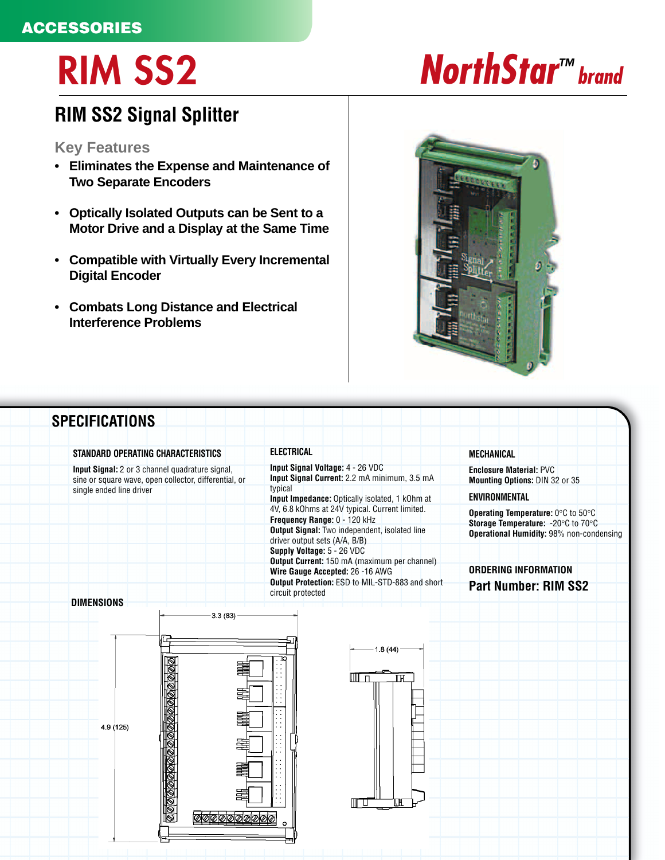# **ACCESSORIES**

# **RIM SS2 NorthStar™ brand**

# **RIM SS2 Signal Splitter**

## **Key Features**

- **Eliminates the Expense and Maintenance of Two Separate Encoders**
- **Optically Isolated Outputs can be Sent to a Motor Drive and a Display at the Same Time**
- **Compatible with Virtually Every Incremental Digital Encoder**
- **Combats Long Distance and Electrical Interference Problems**



## **SPECIFICATIONS STANDARD OPERATING CHARACTERISTICS ELECTRICAL MECHANICAL Input Signal Voltage:** 4 - 26 VDC **Input Signal:** 2 or 3 channel quadrature signal, **Enclosure Material:** PVC **Input Signal Current:** 2.2 mA minimum, 3.5 mA sine or square wave, open collector, differential, or **Mounting Options:** DIN 32 or 35 typical single ended line driver **ENVIRONMENTAL Input Impedance:** Optically isolated, 1 kOhm at 4V, 6.8 kOhms at 24V typical. Current limited. **Operating Temperature:** 0°C to 50°C **Frequency Range:** 0 - 120 kHz **Storage Temperature:** -20°C to 70°C **Output Signal:** Two independent, isolated line **Operational Humidity:** 98% non-condensing driver output sets (A/A, B/B) **Supply Voltage:** 5 - 26 VDC **Output Current:** 150 mA (maximum per channel) **ORDERING INFORMATIONWire Gauge Accepted:** 26 -16 AWG **Output Protection:** ESD to MIL-STD-883 and short **Output Protection:** ESD to MIL-STD-883 and short **Part Number: RIM SS2** circuit protected **DIMENSIONS**  $-3.3(83)$  $1.8(44)$ MT TT īн 4.9 (125) MU